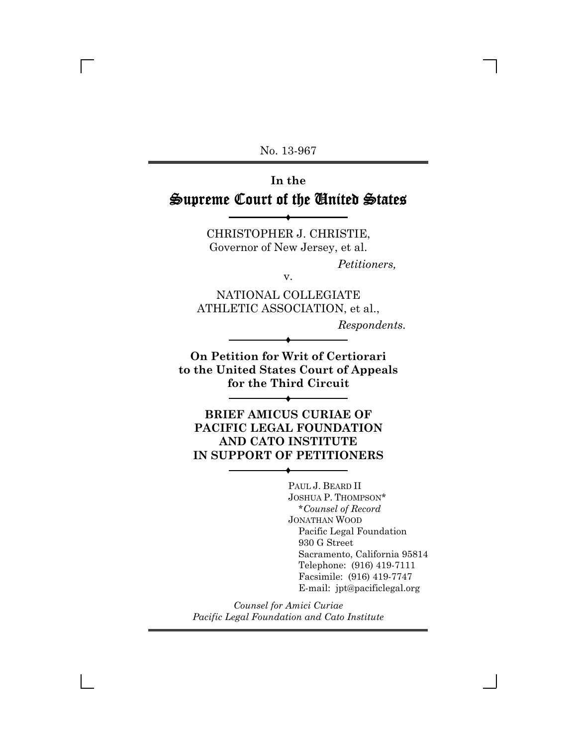No. 13-967

# **In the** Supreme Court of the United States

CHRISTOPHER J. CHRISTIE, Governor of New Jersey, et al.

v.

Ë

*Petitioners,*

NATIONAL COLLEGIATE ATHLETIC ASSOCIATION, et al.,

*Respondents.*

**On Petition for Writ of Certiorari to the United States Court of Appeals for the Third Circuit**

Ë

Ë

**BRIEF AMICUS CURIAE OF PACIFIC LEGAL FOUNDATION AND CATO INSTITUTE IN SUPPORT OF PETITIONERS**

Ë

PAUL J. BEARD II JOSHUA P. THOMPSON\* \**Counsel of Record* JONATHAN WOOD Pacific Legal Foundation 930 G Street Sacramento, California 95814 Telephone: (916) 419-7111 Facsimile: (916) 419-7747 E-mail: jpt@pacificlegal.org

*Counsel for Amici Curiae Pacific Legal Foundation and Cato Institute*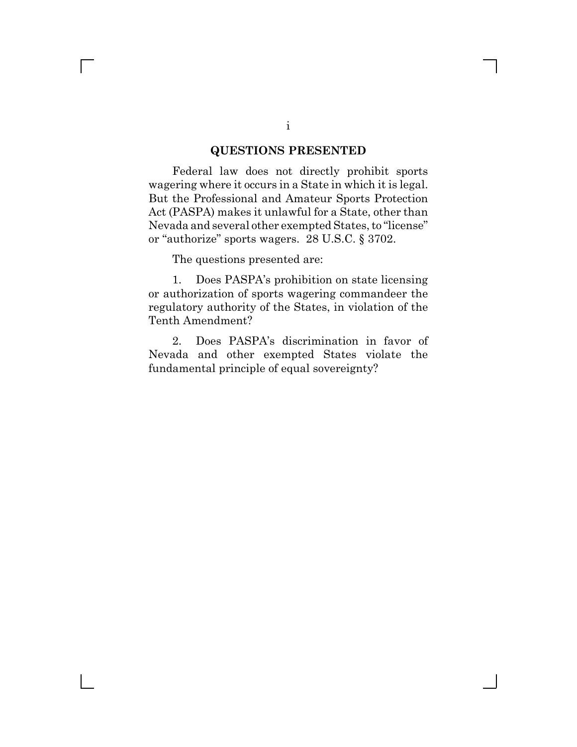#### **QUESTIONS PRESENTED**

Federal law does not directly prohibit sports wagering where it occurs in a State in which it is legal. But the Professional and Amateur Sports Protection Act (PASPA) makes it unlawful for a State, other than Nevada and several other exempted States, to "license" or "authorize" sports wagers. 28 U.S.C. § 3702.

The questions presented are:

 $\Box$ 

1. Does PASPA's prohibition on state licensing or authorization of sports wagering commandeer the regulatory authority of the States, in violation of the Tenth Amendment?

2. Does PASPA's discrimination in favor of Nevada and other exempted States violate the fundamental principle of equal sovereignty?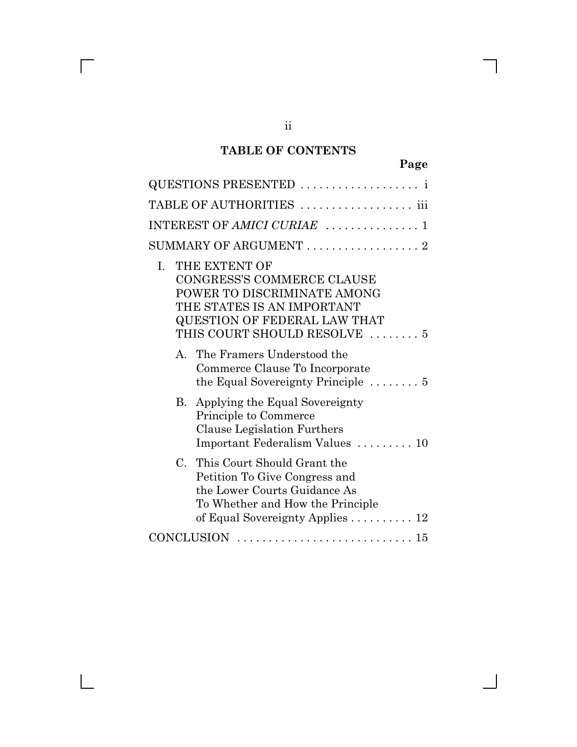## **TABLE OF CONTENTS**

| QUESTIONS PRESENTED                                                                                                                                                                                                                                                                                                |
|--------------------------------------------------------------------------------------------------------------------------------------------------------------------------------------------------------------------------------------------------------------------------------------------------------------------|
| TABLE OF AUTHORITIES  iii                                                                                                                                                                                                                                                                                          |
| INTEREST OF AMICI CURIAE  1                                                                                                                                                                                                                                                                                        |
| SUMMARY OF ARGUMENT $\ldots \ldots \ldots \ldots \ldots 2$                                                                                                                                                                                                                                                         |
| THE EXTENT OF<br>L.<br><b>CONGRESS'S COMMERCE CLAUSE</b><br>POWER TO DISCRIMINATE AMONG<br>THE STATES IS AN IMPORTANT<br><b>QUESTION OF FEDERAL LAW THAT</b><br>THIS COURT SHOULD RESOLVE  5<br>A. The Framers Understood the<br>Commerce Clause To Incorporate<br>the Equal Sovereignty Principle $\dots \dots 5$ |
| B. Applying the Equal Sovereignty<br>Principle to Commerce<br>Clause Legislation Furthers<br>Important Federalism Values  10                                                                                                                                                                                       |
| C. This Court Should Grant the<br>Petition To Give Congress and<br>the Lower Courts Guidance As<br>To Whether and How the Principle<br>of Equal Sovereignty Applies $\ldots \ldots \ldots 12$                                                                                                                      |
|                                                                                                                                                                                                                                                                                                                    |

 $\overline{\Gamma}$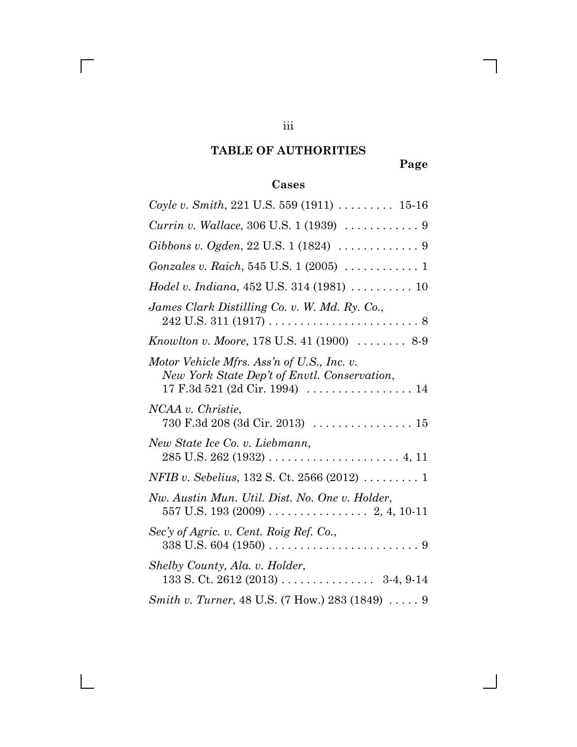## **TABLE OF AUTHORITIES**

## **Page**

# **Cases**

| Coyle v. Smith, 221 U.S. 559 (1911) $\ldots \ldots \ldots 15-16$                                                                  |
|-----------------------------------------------------------------------------------------------------------------------------------|
|                                                                                                                                   |
|                                                                                                                                   |
|                                                                                                                                   |
| Hodel v. Indiana, 452 U.S. 314 (1981)  10                                                                                         |
| James Clark Distilling Co. v. W. Md. Ry. Co.,                                                                                     |
| Knowlton v. Moore, 178 U.S. 41 (1900)  8-9                                                                                        |
| Motor Vehicle Mfrs. Ass'n of U.S., Inc. v.<br>New York State Dep't of Envtl. Conservation,<br>$17 F.3d 521 (2d Cir. 1994) \ldots$ |
| NCAA v. Christie,<br>730 F.3d 208 (3d Cir. 2013)  15                                                                              |
| New State Ice Co. v. Liebmann,                                                                                                    |
| <i>NFIB v. Sebelius,</i> 132 S. Ct. 2566 (2012) $\ldots \ldots \ldots$ 1                                                          |
| Nw. Austin Mun. Util. Dist. No. One v. Holder,                                                                                    |
| Sec'y of Agric. v. Cent. Roig Ref. Co.,                                                                                           |
| Shelby County, Ala. v. Holder,<br>133 S. Ct. 2612 (2013) 3-4, 9-14                                                                |
| <i>Smith v. Turner</i> , 48 U.S. (7 How.) 283 (1849) $\dots$ . 9                                                                  |

 $\overline{\Gamma}$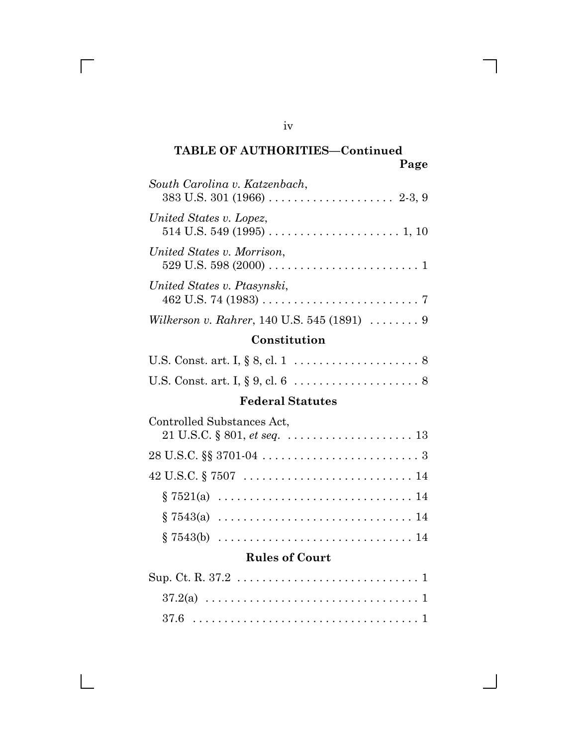| South Carolina v. Katzenbach,               |
|---------------------------------------------|
| United States v. Lopez,                     |
| United States v. Morrison,                  |
| United States v. Ptasynski,                 |
| Wilkerson v. Rahrer, 140 U.S. 545 (1891)  9 |

### **Constitution**

### **Federal Statutes**

| Controlled Substances Act, |
|----------------------------|
|                            |
|                            |
|                            |
|                            |
|                            |
|                            |

### **Rules of Court**

iv

 $\sqrt{2}$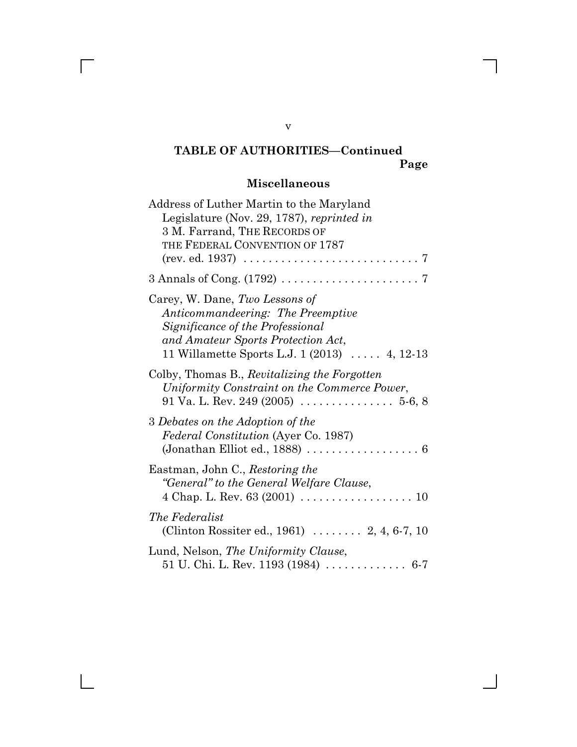# **Miscellaneous**

| Address of Luther Martin to the Maryland<br>Legislature (Nov. 29, 1787), reprinted in<br>3 M. Farrand, THE RECORDS OF<br>THE FEDERAL CONVENTION OF 1787<br>$(rev. ed. 1937) \ldots \ldots \ldots \ldots \ldots \ldots \ldots \ldots \ldots 7$ |
|-----------------------------------------------------------------------------------------------------------------------------------------------------------------------------------------------------------------------------------------------|
|                                                                                                                                                                                                                                               |
| Carey, W. Dane, Two Lessons of<br>Anticommandeering: The Preemptive<br>Significance of the Professional<br>and Amateur Sports Protection Act,<br>11 Willamette Sports L.J. 1 $(2013)$ 4, 12-13                                                |
| Colby, Thomas B., Revitalizing the Forgotten<br>Uniformity Constraint on the Commerce Power,                                                                                                                                                  |
| 3 Debates on the Adoption of the<br><i>Federal Constitution</i> (Ayer Co. 1987)<br>(Jonathan Elliot ed., 1888) $\ldots \ldots \ldots \ldots \ldots \ldots$                                                                                    |
| Eastman, John C., Restoring the<br>"General" to the General Welfare Clause,<br>4 Chap. L. Rev. 63 (2001) $\ldots \ldots \ldots \ldots \ldots \ldots 10$                                                                                       |
| <i>The Federalist</i><br>(Clinton Rossiter ed., 1961)  2, 4, 6-7, 10                                                                                                                                                                          |
| Lund, Nelson, The Uniformity Clause,<br>51 U. Chi. L. Rev. 1193 (1984) $\ldots \ldots \ldots \ldots$ 6-7                                                                                                                                      |

v

 $\overline{\Gamma}$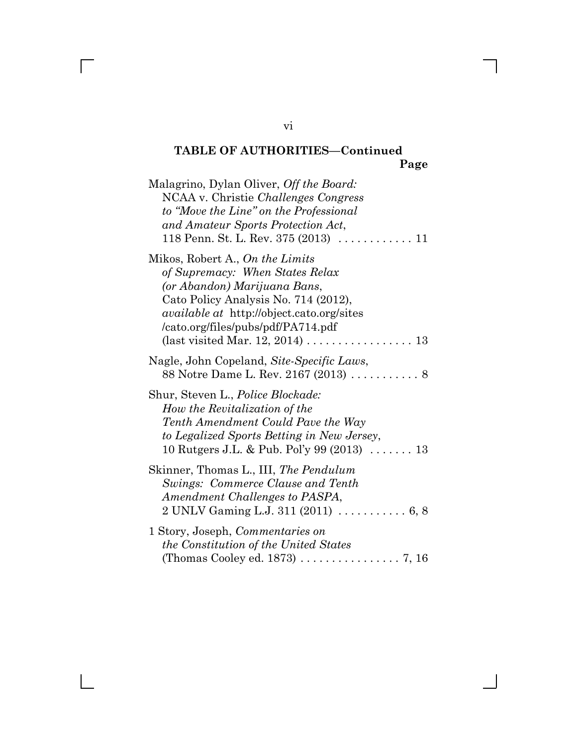| Malagrino, Dylan Oliver, Off the Board:<br>NCAA v. Christie Challenges Congress<br>to "Move the Line" on the Professional<br>and Amateur Sports Protection Act,                                                                                                                                              |
|--------------------------------------------------------------------------------------------------------------------------------------------------------------------------------------------------------------------------------------------------------------------------------------------------------------|
| Mikos, Robert A., On the Limits<br>of Supremacy: When States Relax<br>(or Abandon) Marijuana Bans,<br>Cato Policy Analysis No. 714 (2012),<br><i>available at http://object.cato.org/sites</i><br>/cato.org/files/pubs/pdf/PA714.pdf<br>(last visited Mar. 12, 2014) $\ldots \ldots \ldots \ldots \ldots 13$ |
| Nagle, John Copeland, Site-Specific Laws,<br>88 Notre Dame L. Rev. 2167 (2013)  8                                                                                                                                                                                                                            |
| Shur, Steven L., <i>Police Blockade</i> :<br>How the Revitalization of the<br>Tenth Amendment Could Pave the Way<br>to Legalized Sports Betting in New Jersey,<br>10 Rutgers J.L. & Pub. Pol'y 99 $(2013)$ 13                                                                                                |
| Skinner, Thomas L., III, The Pendulum<br>Swings: Commerce Clause and Tenth<br>Amendment Challenges to PASPA,<br>2 UNLV Gaming L.J. 311 (2011)  6, 8                                                                                                                                                          |
| 1 Story, Joseph, Commentaries on<br><i>the Constitution of the United States</i><br>(Thomas Cooley ed. 1873) 7, 16                                                                                                                                                                                           |

### vi

 $\overline{\Gamma}$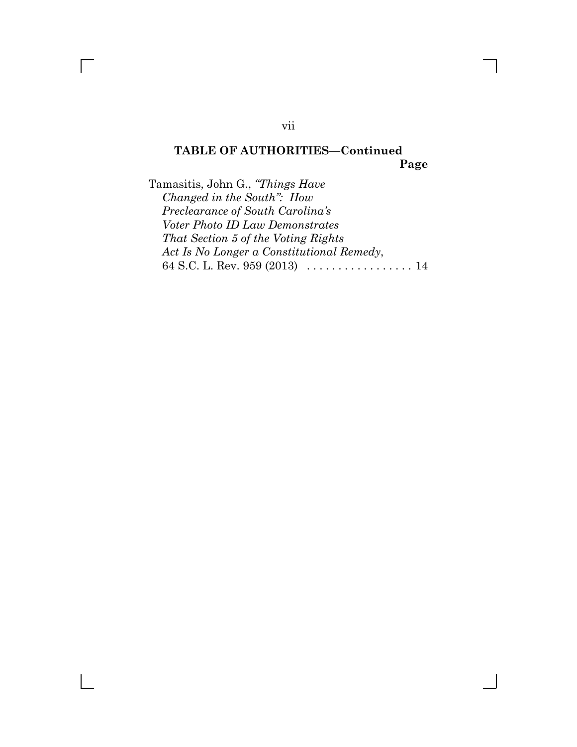Tamasitis, John G., *"Things Have Changed in the South": How Preclearance of South Carolina's Voter Photo ID Law Demonstrates That Section 5 of the Voting Rights Act Is No Longer a Constitutional Remedy*, 64 S.C. L. Rev. 959 (2013) . . . . . . . . . . . . . . . . . 14

vii

 $\Box$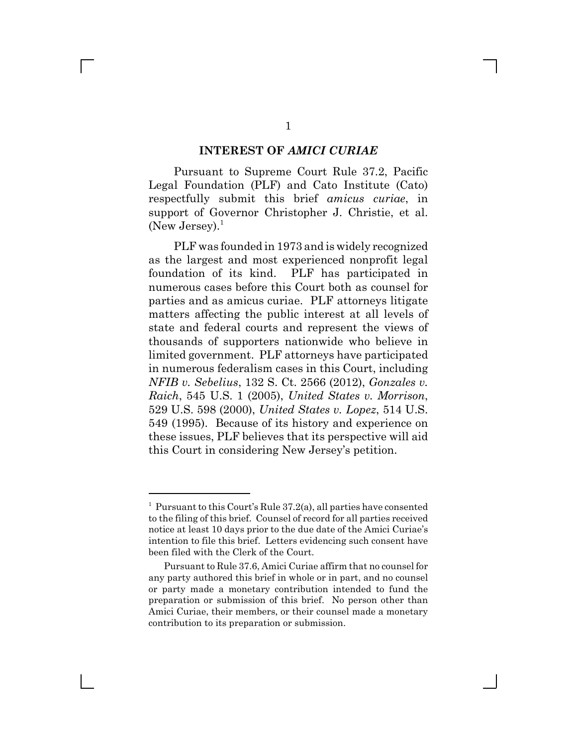#### **INTEREST OF** *AMICI CURIAE*

Pursuant to Supreme Court Rule 37.2, Pacific Legal Foundation (PLF) and Cato Institute (Cato) respectfully submit this brief *amicus curiae*, in support of Governor Christopher J. Christie, et al. (New Jersey). $<sup>1</sup>$ </sup>

PLF was founded in 1973 and is widely recognized as the largest and most experienced nonprofit legal foundation of its kind. PLF has participated in numerous cases before this Court both as counsel for parties and as amicus curiae. PLF attorneys litigate matters affecting the public interest at all levels of state and federal courts and represent the views of thousands of supporters nationwide who believe in limited government. PLF attorneys have participated in numerous federalism cases in this Court, including *NFIB v. Sebelius*, 132 S. Ct. 2566 (2012), *Gonzales v. Raich*, 545 U.S. 1 (2005), *United States v. Morrison*, 529 U.S. 598 (2000), *United States v. Lopez*, 514 U.S. 549 (1995). Because of its history and experience on these issues, PLF believes that its perspective will aid this Court in considering New Jersey's petition.

<sup>&</sup>lt;sup>1</sup> Pursuant to this Court's Rule 37.2(a), all parties have consented to the filing of this brief. Counsel of record for all parties received notice at least 10 days prior to the due date of the Amici Curiae's intention to file this brief. Letters evidencing such consent have been filed with the Clerk of the Court.

Pursuant to Rule 37.6, Amici Curiae affirm that no counsel for any party authored this brief in whole or in part, and no counsel or party made a monetary contribution intended to fund the preparation or submission of this brief. No person other than Amici Curiae, their members, or their counsel made a monetary contribution to its preparation or submission.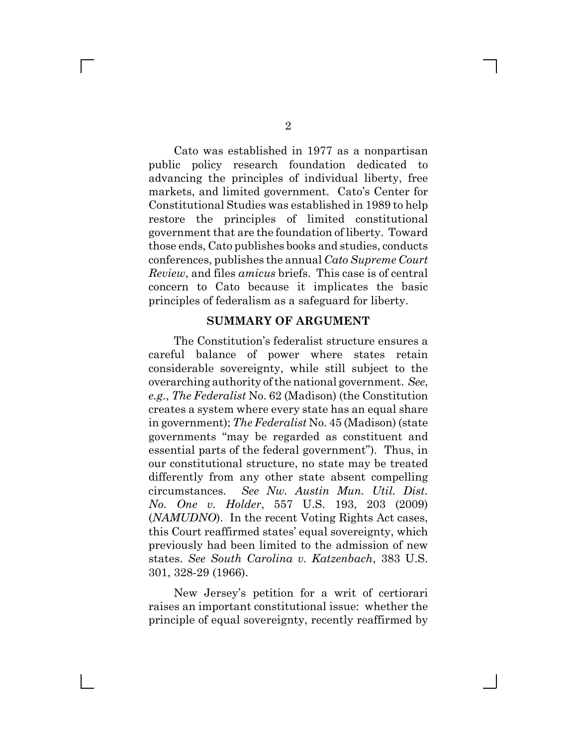Cato was established in 1977 as a nonpartisan public policy research foundation dedicated to advancing the principles of individual liberty, free markets, and limited government. Cato's Center for Constitutional Studies was established in 1989 to help restore the principles of limited constitutional government that are the foundation of liberty. Toward those ends, Cato publishes books and studies, conducts conferences, publishes the annual *Cato Supreme Court Review*, and files *amicus* briefs. This case is of central concern to Cato because it implicates the basic principles of federalism as a safeguard for liberty.

#### **SUMMARY OF ARGUMENT**

The Constitution's federalist structure ensures a careful balance of power where states retain considerable sovereignty, while still subject to the overarching authority of the national government. *See*, *e.g.*, *The Federalist* No. 62 (Madison) (the Constitution creates a system where every state has an equal share in government); *The Federalist* No. 45 (Madison) (state governments "may be regarded as constituent and essential parts of the federal government"). Thus, in our constitutional structure, no state may be treated differently from any other state absent compelling circumstances. *See Nw. Austin Mun. Util. Dist. No. One v. Holder*, 557 U.S. 193, 203 (2009) (*NAMUDNO*). In the recent Voting Rights Act cases, this Court reaffirmed states' equal sovereignty, which previously had been limited to the admission of new states. *See South Carolina v. Katzenbach*, 383 U.S. 301, 328-29 (1966).

New Jersey's petition for a writ of certiorari raises an important constitutional issue: whether the principle of equal sovereignty, recently reaffirmed by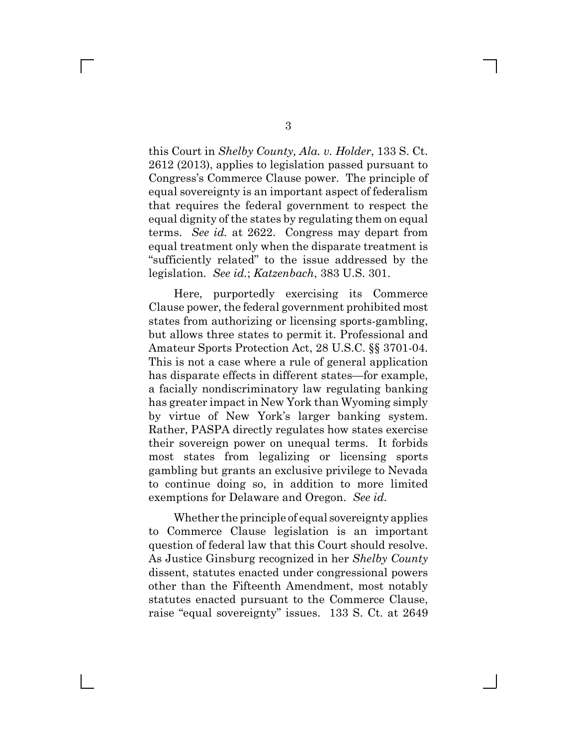this Court in *Shelby County, Ala. v. Holder*, 133 S. Ct. 2612 (2013), applies to legislation passed pursuant to Congress's Commerce Clause power. The principle of equal sovereignty is an important aspect of federalism that requires the federal government to respect the equal dignity of the states by regulating them on equal terms. *See id.* at 2622. Congress may depart from equal treatment only when the disparate treatment is "sufficiently related" to the issue addressed by the legislation. *See id.*; *Katzenbach*, 383 U.S. 301.

Here, purportedly exercising its Commerce Clause power, the federal government prohibited most states from authorizing or licensing sports-gambling, but allows three states to permit it. Professional and Amateur Sports Protection Act, 28 U.S.C. §§ 3701-04. This is not a case where a rule of general application has disparate effects in different states—for example, a facially nondiscriminatory law regulating banking has greater impact in New York than Wyoming simply by virtue of New York's larger banking system. Rather, PASPA directly regulates how states exercise their sovereign power on unequal terms. It forbids most states from legalizing or licensing sports gambling but grants an exclusive privilege to Nevada to continue doing so, in addition to more limited exemptions for Delaware and Oregon. *See id.*

Whether the principle of equal sovereignty applies to Commerce Clause legislation is an important question of federal law that this Court should resolve. As Justice Ginsburg recognized in her *Shelby County* dissent, statutes enacted under congressional powers other than the Fifteenth Amendment, most notably statutes enacted pursuant to the Commerce Clause, raise "equal sovereignty" issues. 133 S. Ct. at 2649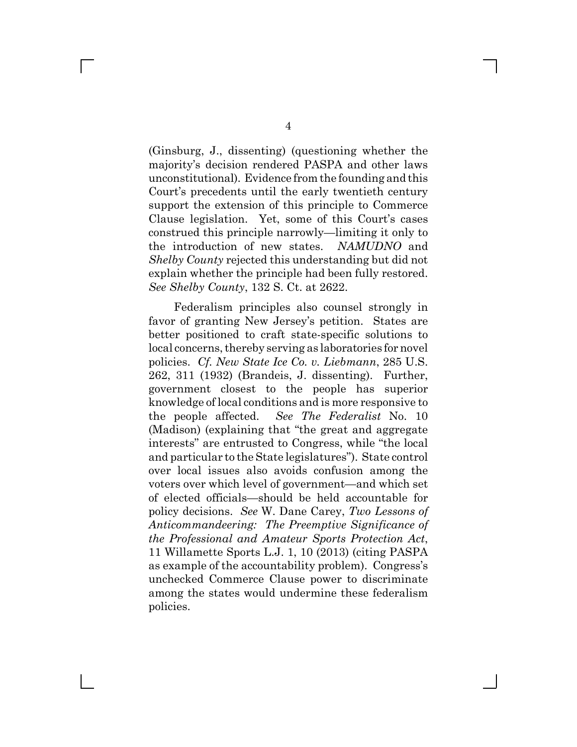(Ginsburg, J., dissenting) (questioning whether the majority's decision rendered PASPA and other laws unconstitutional). Evidence from the founding and this Court's precedents until the early twentieth century support the extension of this principle to Commerce Clause legislation. Yet, some of this Court's cases construed this principle narrowly—limiting it only to the introduction of new states. *NAMUDNO* and *Shelby County* rejected this understanding but did not explain whether the principle had been fully restored. *See Shelby County*, 132 S. Ct. at 2622.

Federalism principles also counsel strongly in favor of granting New Jersey's petition. States are better positioned to craft state-specific solutions to local concerns, thereby serving as laboratories for novel policies. *Cf. New State Ice Co. v. Liebmann*, 285 U.S. 262, 311 (1932) (Brandeis, J. dissenting). Further, government closest to the people has superior knowledge of local conditions and is more responsive to the people affected. *See The Federalist* No. 10 (Madison) (explaining that "the great and aggregate interests" are entrusted to Congress, while "the local and particular to the State legislatures"). State control over local issues also avoids confusion among the voters over which level of government—and which set of elected officials—should be held accountable for policy decisions. *See* W. Dane Carey, *Two Lessons of Anticommandeering: The Preemptive Significance of the Professional and Amateur Sports Protection Act*, 11 Willamette Sports L.J. 1, 10 (2013) (citing PASPA as example of the accountability problem). Congress's unchecked Commerce Clause power to discriminate among the states would undermine these federalism policies.

 $\Box$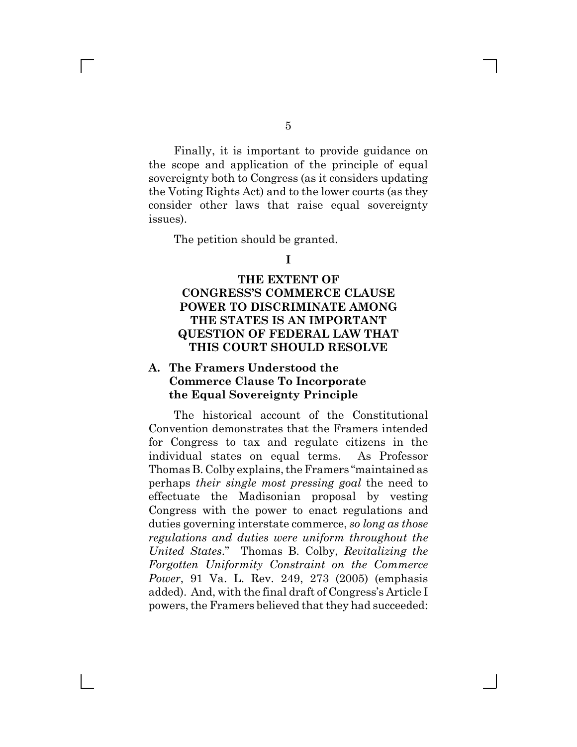Finally, it is important to provide guidance on the scope and application of the principle of equal sovereignty both to Congress (as it considers updating the Voting Rights Act) and to the lower courts (as they consider other laws that raise equal sovereignty issues).

The petition should be granted.

 $\mathbf{L}$ 

**I**

#### **THE EXTENT OF CONGRESS'S COMMERCE CLAUSE POWER TO DISCRIMINATE AMONG THE STATES IS AN IMPORTANT QUESTION OF FEDERAL LAW THAT THIS COURT SHOULD RESOLVE**

#### **A. The Framers Understood the Commerce Clause To Incorporate the Equal Sovereignty Principle**

The historical account of the Constitutional Convention demonstrates that the Framers intended for Congress to tax and regulate citizens in the individual states on equal terms. As Professor Thomas B. Colby explains, the Framers "maintained as perhaps *their single most pressing goal* the need to effectuate the Madisonian proposal by vesting Congress with the power to enact regulations and duties governing interstate commerce, *so long as those regulations and duties were uniform throughout the United States*." Thomas B. Colby, *Revitalizing the Forgotten Uniformity Constraint on the Commerce Power*, 91 Va. L. Rev. 249, 273 (2005) (emphasis added). And, with the final draft of Congress's Article I powers, the Framers believed that they had succeeded: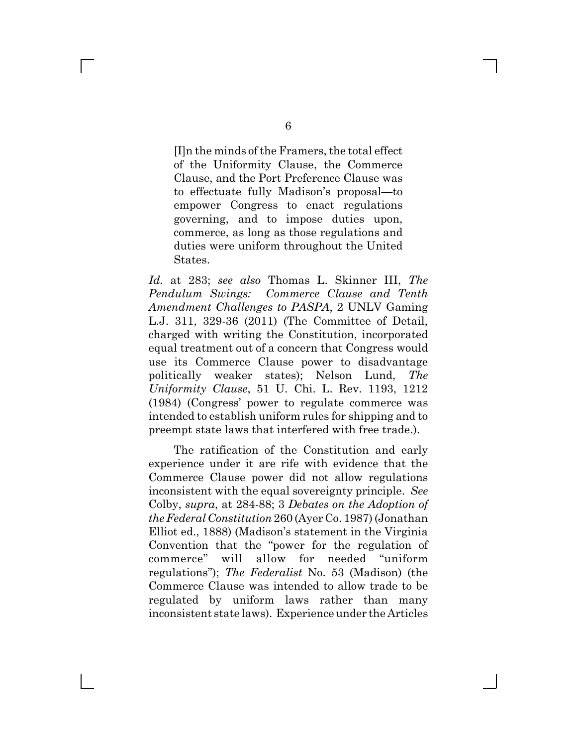[I]n the minds of the Framers, the total effect of the Uniformity Clause, the Commerce Clause, and the Port Preference Clause was to effectuate fully Madison's proposal—to empower Congress to enact regulations governing, and to impose duties upon, commerce, as long as those regulations and duties were uniform throughout the United States.

*Id.* at 283; *see also* Thomas L. Skinner III, *The Pendulum Swings: Commerce Clause and Tenth Amendment Challenges to PASPA*, 2 UNLV Gaming L.J. 311, 329-36 (2011) (The Committee of Detail, charged with writing the Constitution, incorporated equal treatment out of a concern that Congress would use its Commerce Clause power to disadvantage politically weaker states); Nelson Lund, *The Uniformity Clause*, 51 U. Chi. L. Rev. 1193, 1212 (1984) (Congress' power to regulate commerce was intended to establish uniform rules for shipping and to preempt state laws that interfered with free trade.).

The ratification of the Constitution and early experience under it are rife with evidence that the Commerce Clause power did not allow regulations inconsistent with the equal sovereignty principle. *See* Colby, *supra*, at 284-88; 3 *Debates on the Adoption of the Federal Constitution* 260 (Ayer Co. 1987) (Jonathan Elliot ed., 1888) (Madison's statement in the Virginia Convention that the "power for the regulation of commerce" will allow for needed "uniform regulations"); *The Federalist* No. 53 (Madison) (the Commerce Clause was intended to allow trade to be regulated by uniform laws rather than many inconsistent state laws). Experience under the Articles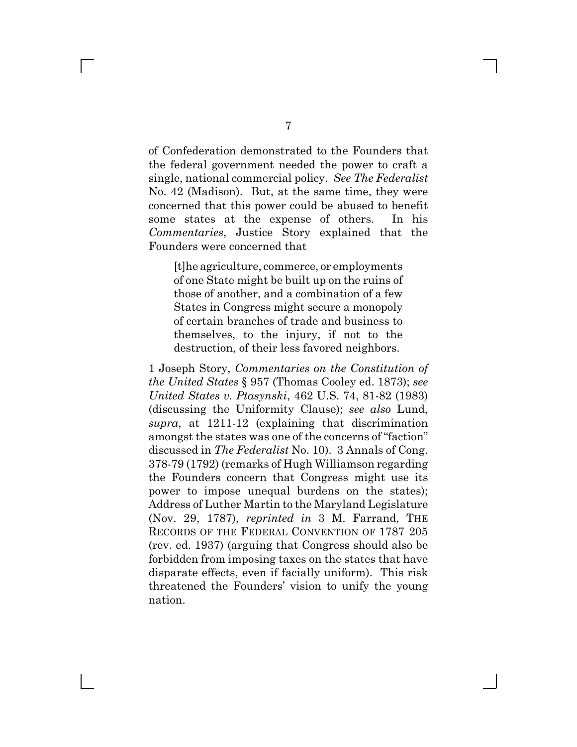of Confederation demonstrated to the Founders that the federal government needed the power to craft a single, national commercial policy. *See The Federalist* No. 42 (Madison). But, at the same time, they were concerned that this power could be abused to benefit some states at the expense of others. In his *Commentaries*, Justice Story explained that the Founders were concerned that

[t]he agriculture, commerce, or employments of one State might be built up on the ruins of those of another, and a combination of a few States in Congress might secure a monopoly of certain branches of trade and business to themselves, to the injury, if not to the destruction, of their less favored neighbors.

1 Joseph Story, *Commentaries on the Constitution of the United States* § 957 (Thomas Cooley ed. 1873); *see United States v. Ptasynski*, 462 U.S. 74, 81-82 (1983) (discussing the Uniformity Clause); *see also* Lund, *supra*, at 1211-12 (explaining that discrimination amongst the states was one of the concerns of "faction" discussed in *The Federalist* No. 10). 3 Annals of Cong. 378-79 (1792) (remarks of Hugh Williamson regarding the Founders concern that Congress might use its power to impose unequal burdens on the states); Address of Luther Martin to the Maryland Legislature (Nov. 29, 1787), *reprinted in* 3 M. Farrand, THE RECORDS OF THE FEDERAL CONVENTION OF 1787 205 (rev. ed. 1937) (arguing that Congress should also be forbidden from imposing taxes on the states that have disparate effects, even if facially uniform). This risk threatened the Founders' vision to unify the young nation.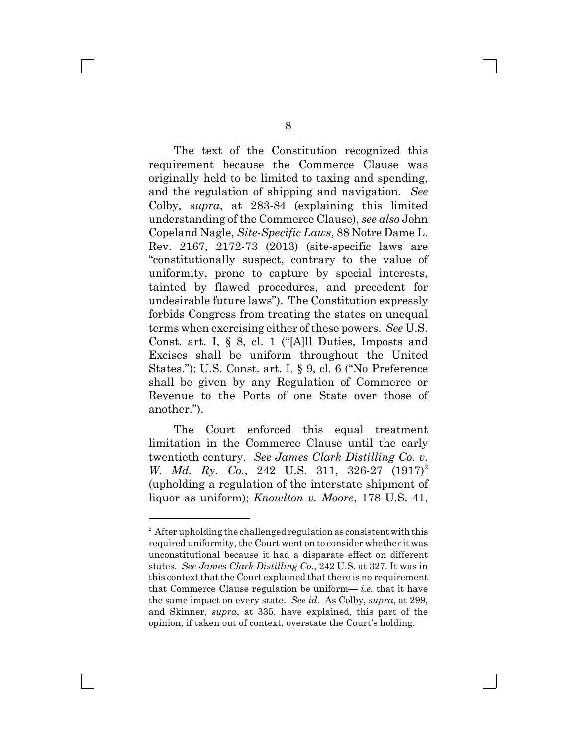The text of the Constitution recognized this requirement because the Commerce Clause was originally held to be limited to taxing and spending, and the regulation of shipping and navigation. *See* Colby, *supra*, at 283-84 (explaining this limited understanding of the Commerce Clause), *see also* John Copeland Nagle, *Site-Specific Laws*, 88 Notre Dame L. Rev. 2167, 2172-73 (2013) (site-specific laws are "constitutionally suspect, contrary to the value of uniformity, prone to capture by special interests, tainted by flawed procedures, and precedent for undesirable future laws"). The Constitution expressly forbids Congress from treating the states on unequal terms when exercising either of these powers. *See* U.S. Const. art. I, § 8, cl. 1 ("[A]ll Duties, Imposts and Excises shall be uniform throughout the United States."); U.S. Const. art. I, § 9, cl. 6 ("No Preference shall be given by any Regulation of Commerce or Revenue to the Ports of one State over those of another.").

The Court enforced this equal treatment limitation in the Commerce Clause until the early twentieth century. *See James Clark Distilling Co. v. W. Md. Ry. Co.*, 242 U.S. 311, 326-27  $(1917)^2$ (upholding a regulation of the interstate shipment of liquor as uniform); *Knowlton v. Moore*, 178 U.S. 41,

L

<sup>&</sup>lt;sup>2</sup> After upholding the challenged regulation as consistent with this required uniformity, the Court went on to consider whether it was unconstitutional because it had a disparate effect on different states. *See James Clark Distilling Co.*, 242 U.S. at 327. It was in this context that the Court explained that there is no requirement that Commerce Clause regulation be uniform— *i.e.* that it have the same impact on every state. *See id.* As Colby, *supra*, at 299, and Skinner, *supra*, at 335, have explained, this part of the opinion, if taken out of context, overstate the Court's holding.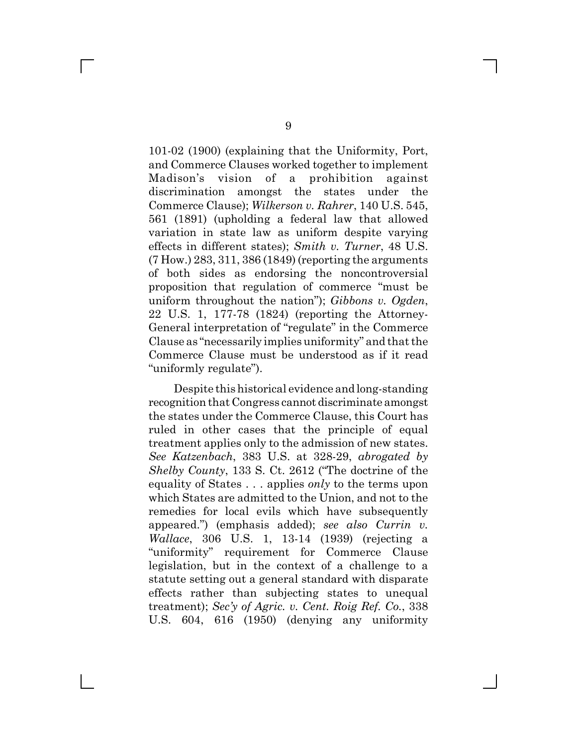101-02 (1900) (explaining that the Uniformity, Port, and Commerce Clauses worked together to implement Madison's vision of a prohibition against discrimination amongst the states under the Commerce Clause); *Wilkerson v. Rahrer*, 140 U.S. 545, 561 (1891) (upholding a federal law that allowed variation in state law as uniform despite varying effects in different states); *Smith v. Turner*, 48 U.S. (7 How.) 283, 311, 386 (1849) (reporting the arguments of both sides as endorsing the noncontroversial proposition that regulation of commerce "must be uniform throughout the nation"); *Gibbons v. Ogden*, 22 U.S. 1, 177-78 (1824) (reporting the Attorney-General interpretation of "regulate" in the Commerce Clause as "necessarily implies uniformity" and that the Commerce Clause must be understood as if it read "uniformly regulate").

Despite this historical evidence and long-standing recognition that Congress cannot discriminate amongst the states under the Commerce Clause, this Court has ruled in other cases that the principle of equal treatment applies only to the admission of new states. *See Katzenbach*, 383 U.S. at 328-29, *abrogated by Shelby County*, 133 S. Ct. 2612 ("The doctrine of the equality of States . . . applies *only* to the terms upon which States are admitted to the Union, and not to the remedies for local evils which have subsequently appeared.") (emphasis added); *see also Currin v. Wallace*, 306 U.S. 1, 13-14 (1939) (rejecting a "uniformity" requirement for Commerce Clause legislation, but in the context of a challenge to a statute setting out a general standard with disparate effects rather than subjecting states to unequal treatment); *Sec'y of Agric. v. Cent. Roig Ref. Co.*, 338 U.S. 604, 616 (1950) (denying any uniformity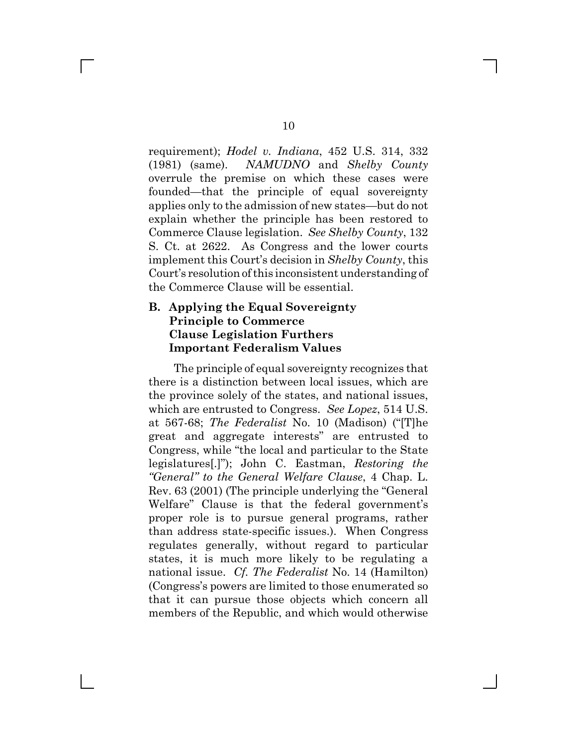requirement); *Hodel v. Indiana*, 452 U.S. 314, 332 (1981) (same). *NAMUDNO* and *Shelby County* overrule the premise on which these cases were founded—that the principle of equal sovereignty applies only to the admission of new states—but do not explain whether the principle has been restored to Commerce Clause legislation. *See Shelby County*, 132 S. Ct. at 2622. As Congress and the lower courts implement this Court's decision in *Shelby County*, this Court's resolution of this inconsistent understanding of the Commerce Clause will be essential.

#### **B. Applying the Equal Sovereignty Principle to Commerce Clause Legislation Furthers Important Federalism Values**

The principle of equal sovereignty recognizes that there is a distinction between local issues, which are the province solely of the states, and national issues, which are entrusted to Congress. *See Lopez*, 514 U.S. at 567-68; *The Federalist* No. 10 (Madison) ("[T]he great and aggregate interests" are entrusted to Congress, while "the local and particular to the State legislatures[.]"); John C. Eastman, *Restoring the "General" to the General Welfare Clause*, 4 Chap. L. Rev. 63 (2001) (The principle underlying the "General Welfare" Clause is that the federal government's proper role is to pursue general programs, rather than address state-specific issues.). When Congress regulates generally, without regard to particular states, it is much more likely to be regulating a national issue. *Cf. The Federalist* No. 14 (Hamilton) (Congress's powers are limited to those enumerated so that it can pursue those objects which concern all members of the Republic, and which would otherwise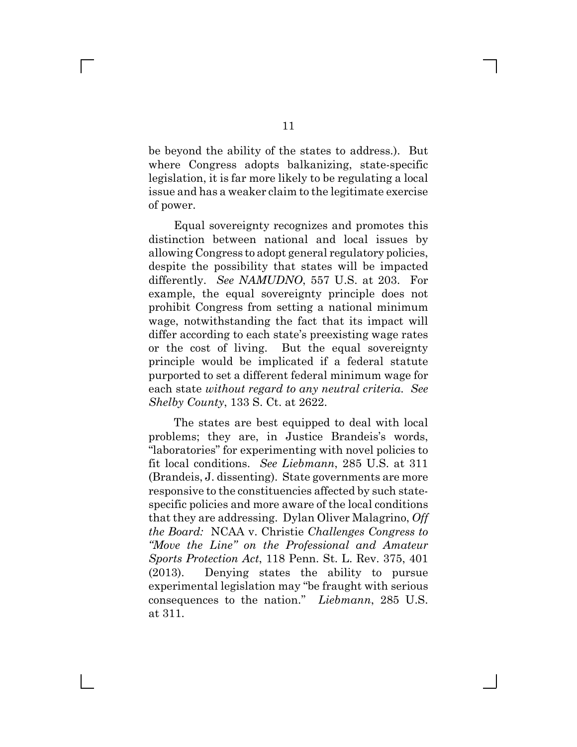be beyond the ability of the states to address.). But where Congress adopts balkanizing, state-specific legislation, it is far more likely to be regulating a local issue and has a weaker claim to the legitimate exercise of power.

Equal sovereignty recognizes and promotes this distinction between national and local issues by allowing Congress to adopt general regulatory policies, despite the possibility that states will be impacted differently. *See NAMUDNO*, 557 U.S. at 203. For example, the equal sovereignty principle does not prohibit Congress from setting a national minimum wage, notwithstanding the fact that its impact will differ according to each state's preexisting wage rates or the cost of living. But the equal sovereignty principle would be implicated if a federal statute purported to set a different federal minimum wage for each state *without regard to any neutral criteria*. *See Shelby County*, 133 S. Ct. at 2622.

The states are best equipped to deal with local problems; they are, in Justice Brandeis's words, "laboratories" for experimenting with novel policies to fit local conditions. *See Liebmann*, 285 U.S. at 311 (Brandeis, J. dissenting). State governments are more responsive to the constituencies affected by such statespecific policies and more aware of the local conditions that they are addressing. Dylan Oliver Malagrino, *Off the Board:* NCAA v. Christie *Challenges Congress to "Move the Line" on the Professional and Amateur Sports Protection Act*, 118 Penn. St. L. Rev. 375, 401 (2013). Denying states the ability to pursue experimental legislation may "be fraught with serious consequences to the nation." *Liebmann*, 285 U.S. at 311.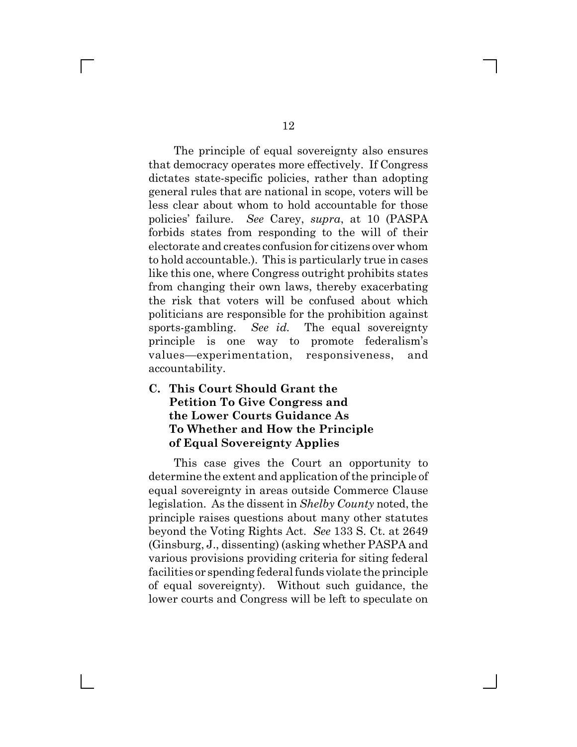The principle of equal sovereignty also ensures that democracy operates more effectively. If Congress dictates state-specific policies, rather than adopting general rules that are national in scope, voters will be less clear about whom to hold accountable for those policies' failure. *See* Carey, *supra*, at 10 (PASPA forbids states from responding to the will of their electorate and creates confusion for citizens over whom to hold accountable.). This is particularly true in cases like this one, where Congress outright prohibits states from changing their own laws, thereby exacerbating the risk that voters will be confused about which politicians are responsible for the prohibition against sports-gambling. *See id.* The equal sovereignty principle is one way to promote federalism's values—experimentation, responsiveness, and accountability.

### **C. This Court Should Grant the Petition To Give Congress and the Lower Courts Guidance As To Whether and How the Principle of Equal Sovereignty Applies**

This case gives the Court an opportunity to determine the extent and application of the principle of equal sovereignty in areas outside Commerce Clause legislation. As the dissent in *Shelby County* noted, the principle raises questions about many other statutes beyond the Voting Rights Act. *See* 133 S. Ct. at 2649 (Ginsburg, J., dissenting) (asking whether PASPA and various provisions providing criteria for siting federal facilities or spending federal funds violate the principle of equal sovereignty). Without such guidance, the lower courts and Congress will be left to speculate on

 $\mathbb{R}^n$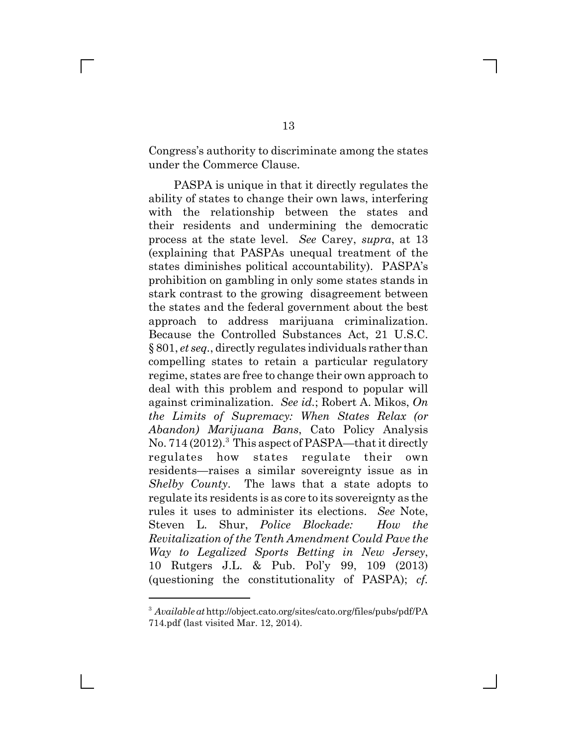Congress's authority to discriminate among the states under the Commerce Clause.

PASPA is unique in that it directly regulates the ability of states to change their own laws, interfering with the relationship between the states and their residents and undermining the democratic process at the state level. *See* Carey, *supra*, at 13 (explaining that PASPAs unequal treatment of the states diminishes political accountability). PASPA's prohibition on gambling in only some states stands in stark contrast to the growing disagreement between the states and the federal government about the best approach to address marijuana criminalization. Because the Controlled Substances Act, 21 U.S.C. § 801, *et seq.*, directly regulates individuals rather than compelling states to retain a particular regulatory regime, states are free to change their own approach to deal with this problem and respond to popular will against criminalization. *See id.*; Robert A. Mikos, *On the Limits of Supremacy: When States Relax (or Abandon) Marijuana Bans*, Cato Policy Analysis No. 714 (2012).<sup>3</sup> This aspect of PASPA—that it directly regulates how states regulate their own residents—raises a similar sovereignty issue as in *Shelby County*. The laws that a state adopts to regulate its residents is as core to its sovereignty as the rules it uses to administer its elections. *See* Note, Steven L. Shur, *Police Blockade: How the Revitalization of the Tenth Amendment Could Pave the Way to Legalized Sports Betting in New Jersey*, 10 Rutgers J.L. & Pub. Pol'y 99, 109 (2013) (questioning the constitutionality of PASPA); *cf.*

<sup>3</sup> *Available at* http://object.cato.org/sites/cato.org/files/pubs/pdf/PA 714.pdf (last visited Mar. 12, 2014).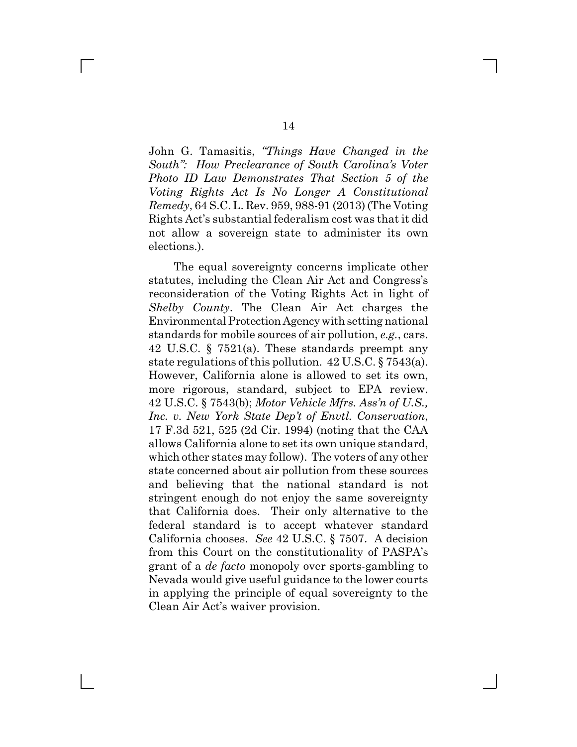John G. Tamasitis, *"Things Have Changed in the South": How Preclearance of South Carolina's Voter Photo ID Law Demonstrates That Section 5 of the Voting Rights Act Is No Longer A Constitutional Remedy*, 64 S.C. L. Rev. 959, 988-91 (2013) (The Voting Rights Act's substantial federalism cost was that it did not allow a sovereign state to administer its own elections.).

The equal sovereignty concerns implicate other statutes, including the Clean Air Act and Congress's reconsideration of the Voting Rights Act in light of *Shelby County*. The Clean Air Act charges the Environmental Protection Agency with setting national standards for mobile sources of air pollution, *e.g.*, cars. 42 U.S.C. § 7521(a). These standards preempt any state regulations of this pollution. 42 U.S.C. § 7543(a). However, California alone is allowed to set its own, more rigorous, standard, subject to EPA review. 42 U.S.C. § 7543(b); *Motor Vehicle Mfrs. Ass'n of U.S., Inc. v. New York State Dep't of Envtl. Conservation*, 17 F.3d 521, 525 (2d Cir. 1994) (noting that the CAA allows California alone to set its own unique standard, which other states may follow). The voters of any other state concerned about air pollution from these sources and believing that the national standard is not stringent enough do not enjoy the same sovereignty that California does. Their only alternative to the federal standard is to accept whatever standard California chooses. *See* 42 U.S.C. § 7507. A decision from this Court on the constitutionality of PASPA's grant of a *de facto* monopoly over sports-gambling to Nevada would give useful guidance to the lower courts in applying the principle of equal sovereignty to the Clean Air Act's waiver provision.

 $\mathbb{R}^n$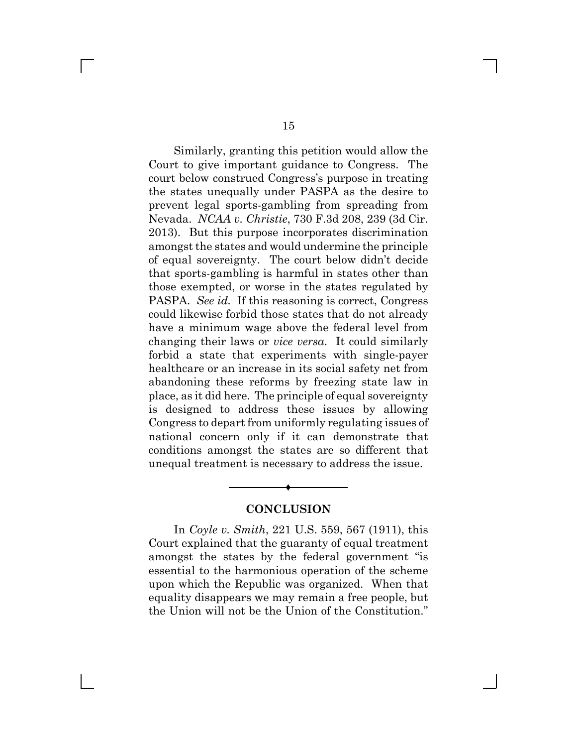Similarly, granting this petition would allow the Court to give important guidance to Congress. The court below construed Congress's purpose in treating the states unequally under PASPA as the desire to prevent legal sports-gambling from spreading from Nevada. *NCAA v. Christie*, 730 F.3d 208, 239 (3d Cir. 2013). But this purpose incorporates discrimination amongst the states and would undermine the principle of equal sovereignty. The court below didn't decide that sports-gambling is harmful in states other than those exempted, or worse in the states regulated by PASPA. *See id.* If this reasoning is correct, Congress could likewise forbid those states that do not already have a minimum wage above the federal level from changing their laws or *vice versa*. It could similarly forbid a state that experiments with single-payer healthcare or an increase in its social safety net from abandoning these reforms by freezing state law in place, as it did here. The principle of equal sovereignty is designed to address these issues by allowing Congress to depart from uniformly regulating issues of national concern only if it can demonstrate that conditions amongst the states are so different that unequal treatment is necessary to address the issue.

#### **CONCLUSION**

Ë

In *Coyle v. Smith*, 221 U.S. 559, 567 (1911), this Court explained that the guaranty of equal treatment amongst the states by the federal government "is essential to the harmonious operation of the scheme upon which the Republic was organized. When that equality disappears we may remain a free people, but the Union will not be the Union of the Constitution."